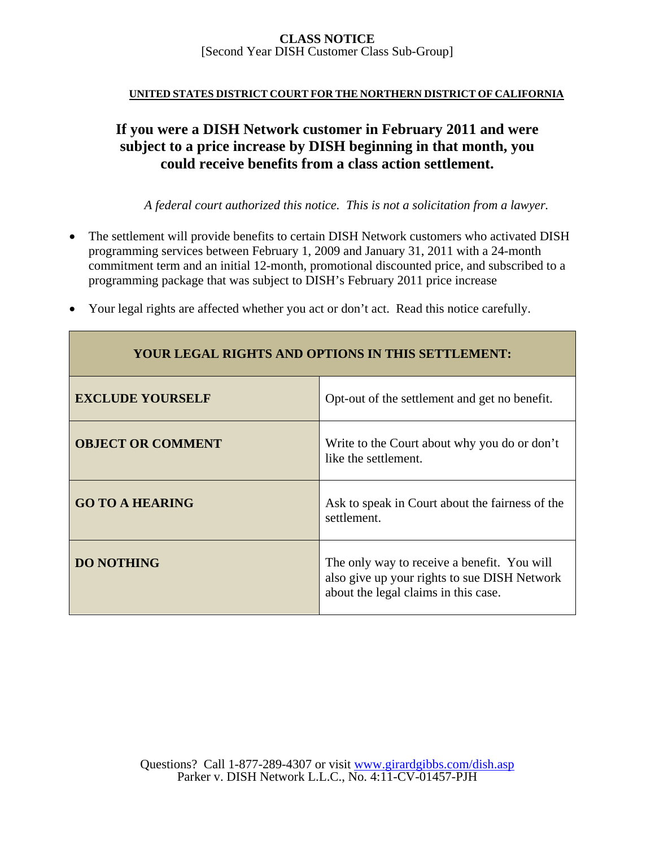#### **UNITED STATES DISTRICT COURT FOR THE NORTHERN DISTRICT OF CALIFORNIA**

# **If you were a DISH Network customer in February 2011 and were subject to a price increase by DISH beginning in that month, you could receive benefits from a class action settlement.**

*A federal court authorized this notice. This is not a solicitation from a lawyer.* 

 The settlement will provide benefits to certain DISH Network customers who activated DISH programming services between February 1, 2009 and January 31, 2011 with a 24-month commitment term and an initial 12-month, promotional discounted price, and subscribed to a programming package that was subject to DISH's February 2011 price increase

| <b>YOUR LEGAL RIGHTS AND OPTIONS IN THIS SETTLEMENT:</b> |                                                                      |  |
|----------------------------------------------------------|----------------------------------------------------------------------|--|
| <b>EXCLUDE YOURSELF</b>                                  | Opt-out of the settlement and get no benefit.                        |  |
| <b>OBJECT OR COMMENT</b>                                 | Write to the Court about why you do or don't<br>like the settlement. |  |
| <b>GO TO A HEARING</b>                                   | Ask to speak in Court about the fairness of the<br>settlement.       |  |

**DO NOTHING The only way to receive a benefit.** You will

also give up your rights to sue DISH Network

about the legal claims in this case.

Your legal rights are affected whether you act or don't act. Read this notice carefully.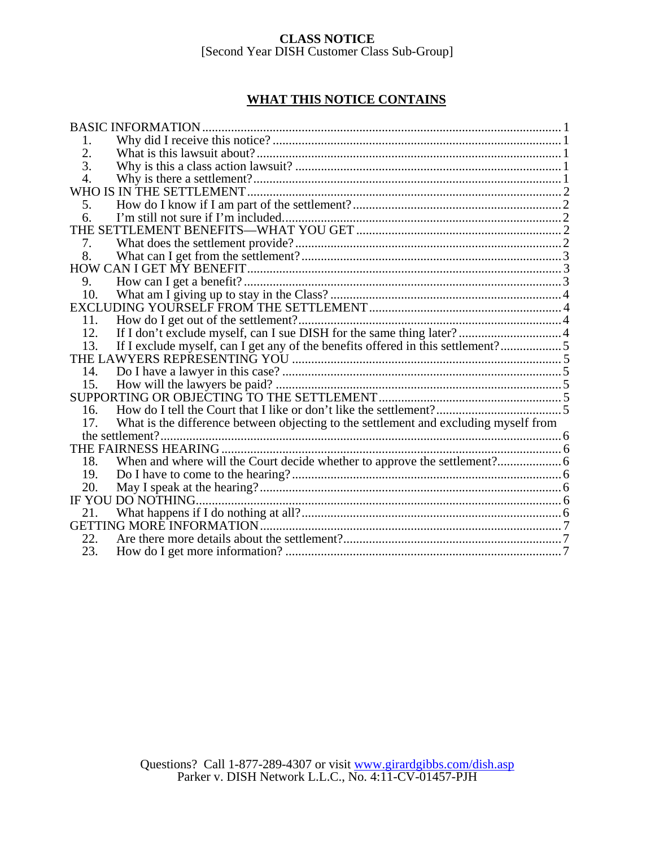## **WHAT THIS NOTICE CONTAINS**

|     | <b>BASIC INFORMATION.</b>                                                            |  |
|-----|--------------------------------------------------------------------------------------|--|
| 1.  |                                                                                      |  |
| 2.  |                                                                                      |  |
| 3.  |                                                                                      |  |
| 4.  |                                                                                      |  |
|     | WHO IS IN THE SETTLEMENT.                                                            |  |
| 5.  |                                                                                      |  |
| 6.  |                                                                                      |  |
|     |                                                                                      |  |
| 7.  |                                                                                      |  |
| 8.  |                                                                                      |  |
|     |                                                                                      |  |
| 9.  |                                                                                      |  |
| 10. |                                                                                      |  |
|     |                                                                                      |  |
| 11. |                                                                                      |  |
| 12. |                                                                                      |  |
| 13. | If I exclude myself, can I get any of the benefits offered in this settlement?5      |  |
|     |                                                                                      |  |
| 14. |                                                                                      |  |
|     |                                                                                      |  |
|     |                                                                                      |  |
| 16. |                                                                                      |  |
| 17. | What is the difference between objecting to the settlement and excluding myself from |  |
|     | the settlement?                                                                      |  |
|     |                                                                                      |  |
| 18. |                                                                                      |  |
| 19. |                                                                                      |  |
| 20. |                                                                                      |  |
|     | IF YOU DO NOTHING.                                                                   |  |
|     |                                                                                      |  |
|     |                                                                                      |  |
| 22. |                                                                                      |  |
| 23. |                                                                                      |  |
|     |                                                                                      |  |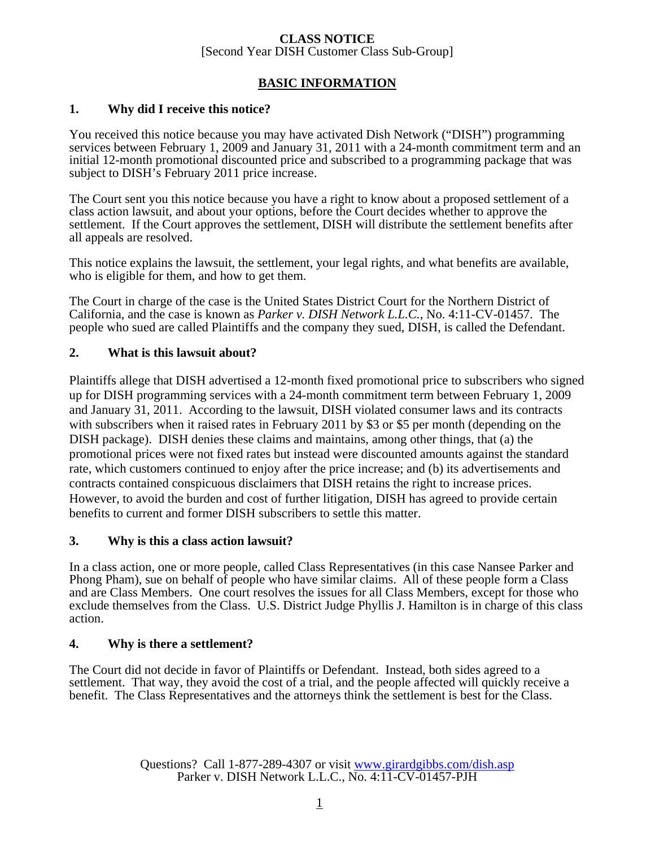## **BASIC INFORMATION**

## **1. Why did I receive this notice?**

You received this notice because you may have activated Dish Network ("DISH") programming services between February 1, 2009 and January 31, 2011 with a 24-month commitment term and an initial 12-month promotional discounted price and subscribed to a programming package that was subject to DISH's February 2011 price increase.

The Court sent you this notice because you have a right to know about a proposed settlement of a class action lawsuit, and about your options, before the Court decides whether to approve the settlement. If the Court approves the settlement, DISH will distribute the settlement benefits after all appeals are resolved.

This notice explains the lawsuit, the settlement, your legal rights, and what benefits are available, who is eligible for them, and how to get them.

The Court in charge of the case is the United States District Court for the Northern District of California, and the case is known as *Parker v. DISH Network L.L.C.*, No. 4:11-CV-01457. The people who sued are called Plaintiffs and the company they sued, DISH, is called the Defendant.

#### **2. What is this lawsuit about?**

Plaintiffs allege that DISH advertised a 12-month fixed promotional price to subscribers who signed up for DISH programming services with a 24-month commitment term between February 1, 2009 and January 31, 2011. According to the lawsuit, DISH violated consumer laws and its contracts with subscribers when it raised rates in February 2011 by \$3 or \$5 per month (depending on the DISH package). DISH denies these claims and maintains, among other things, that (a) the promotional prices were not fixed rates but instead were discounted amounts against the standard rate, which customers continued to enjoy after the price increase; and (b) its advertisements and contracts contained conspicuous disclaimers that DISH retains the right to increase prices. However, to avoid the burden and cost of further litigation, DISH has agreed to provide certain benefits to current and former DISH subscribers to settle this matter.

#### **3. Why is this a class action lawsuit?**

In a class action, one or more people, called Class Representatives (in this case Nansee Parker and Phong Pham), sue on behalf of people who have similar claims. All of these people form a Class and are Class Members. One court resolves the issues for all Class Members, except for those who exclude themselves from the Class. U.S. District Judge Phyllis J. Hamilton is in charge of this class action.

## **4. Why is there a settlement?**

The Court did not decide in favor of Plaintiffs or Defendant. Instead, both sides agreed to a settlement. That way, they avoid the cost of a trial, and the people affected will quickly receive a benefit. The Class Representatives and the attorneys think the settlement is best for the Class.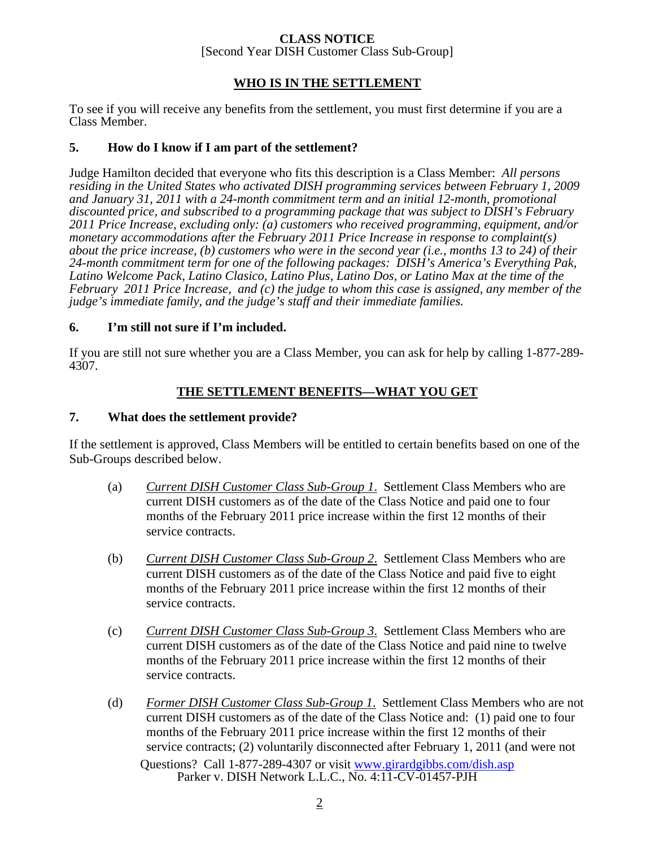# **CLASS NOTICE**

[Second Year DISH Customer Class Sub-Group]

## **WHO IS IN THE SETTLEMENT**

To see if you will receive any benefits from the settlement, you must first determine if you are a Class Member.

## **5. How do I know if I am part of the settlement?**

Judge Hamilton decided that everyone who fits this description is a Class Member: *All persons residing in the United States who activated DISH programming services between February 1, 2009 and January 31, 2011 with a 24-month commitment term and an initial 12-month, promotional discounted price, and subscribed to a programming package that was subject to DISH's February 2011 Price Increase, excluding only: (a) customers who received programming, equipment, and/or monetary accommodations after the February 2011 Price Increase in response to complaint(s) about the price increase, (b) customers who were in the second year (i.e., months 13 to 24) of their 24-month commitment term for one of the following packages: DISH's America's Everything Pak, Latino Welcome Pack, Latino Clasico, Latino Plus, Latino Dos, or Latino Max at the time of the February 2011 Price Increase, and (c) the judge to whom this case is assigned, any member of the judge's immediate family, and the judge's staff and their immediate families.*

## **6. I'm still not sure if I'm included.**

If you are still not sure whether you are a Class Member, you can ask for help by calling 1-877-289- 4307.

## **THE SETTLEMENT BENEFITS—WHAT YOU GET**

## **7. What does the settlement provide?**

If the settlement is approved, Class Members will be entitled to certain benefits based on one of the Sub-Groups described below.

- (a) *Current DISH Customer Class Sub-Group 1*. Settlement Class Members who are current DISH customers as of the date of the Class Notice and paid one to four months of the February 2011 price increase within the first 12 months of their service contracts.
- (b) *Current DISH Customer Class Sub-Group 2*. Settlement Class Members who are current DISH customers as of the date of the Class Notice and paid five to eight months of the February 2011 price increase within the first 12 months of their service contracts.
- (c) *Current DISH Customer Class Sub-Group 3*. Settlement Class Members who are current DISH customers as of the date of the Class Notice and paid nine to twelve months of the February 2011 price increase within the first 12 months of their service contracts.
- Questions? Call 1-877-289-4307 or visit www.girardgibbs.com/dish.asp Parker v. DISH Network L.L.C., No. 4:11-CV-01457-PJH (d) *Former DISH Customer Class Sub-Group 1*. Settlement Class Members who are not current DISH customers as of the date of the Class Notice and: (1) paid one to four months of the February 2011 price increase within the first 12 months of their service contracts; (2) voluntarily disconnected after February 1, 2011 (and were not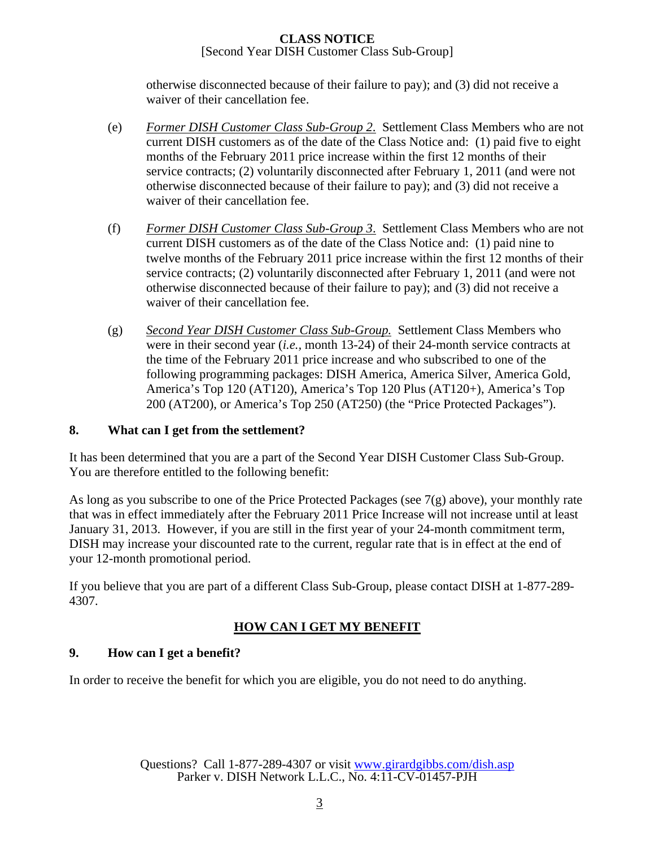otherwise disconnected because of their failure to pay); and (3) did not receive a waiver of their cancellation fee.

- (e) *Former DISH Customer Class Sub-Group 2*. Settlement Class Members who are not current DISH customers as of the date of the Class Notice and: (1) paid five to eight months of the February 2011 price increase within the first 12 months of their service contracts; (2) voluntarily disconnected after February 1, 2011 (and were not otherwise disconnected because of their failure to pay); and (3) did not receive a waiver of their cancellation fee.
- (f) *Former DISH Customer Class Sub-Group 3*. Settlement Class Members who are not current DISH customers as of the date of the Class Notice and: (1) paid nine to twelve months of the February 2011 price increase within the first 12 months of their service contracts; (2) voluntarily disconnected after February 1, 2011 (and were not otherwise disconnected because of their failure to pay); and (3) did not receive a waiver of their cancellation fee.
- (g) *Second Year DISH Customer Class Sub-Group.* Settlement Class Members who were in their second year (*i.e.,* month 13-24) of their 24-month service contracts at the time of the February 2011 price increase and who subscribed to one of the following programming packages: DISH America, America Silver, America Gold, America's Top 120 (AT120), America's Top 120 Plus (AT120+), America's Top 200 (AT200), or America's Top 250 (AT250) (the "Price Protected Packages").

## **8. What can I get from the settlement?**

It has been determined that you are a part of the Second Year DISH Customer Class Sub-Group. You are therefore entitled to the following benefit:

As long as you subscribe to one of the Price Protected Packages (see 7(g) above), your monthly rate that was in effect immediately after the February 2011 Price Increase will not increase until at least January 31, 2013. However, if you are still in the first year of your 24-month commitment term, DISH may increase your discounted rate to the current, regular rate that is in effect at the end of your 12-month promotional period.

If you believe that you are part of a different Class Sub-Group, please contact DISH at 1-877-289- 4307.

# **HOW CAN I GET MY BENEFIT**

# **9. How can I get a benefit?**

In order to receive the benefit for which you are eligible, you do not need to do anything.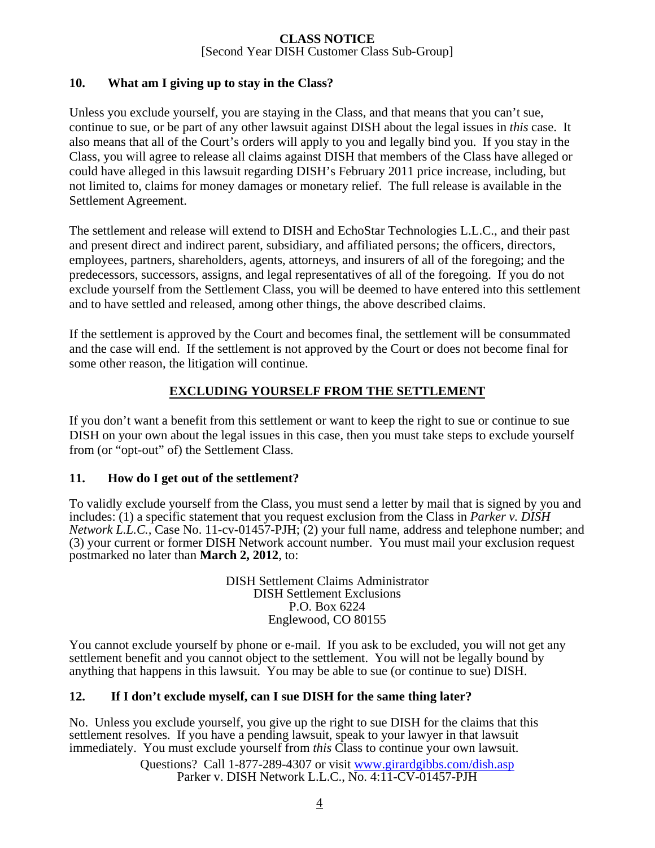## **10. What am I giving up to stay in the Class?**

Unless you exclude yourself, you are staying in the Class, and that means that you can't sue, continue to sue, or be part of any other lawsuit against DISH about the legal issues in *this* case. It also means that all of the Court's orders will apply to you and legally bind you. If you stay in the Class, you will agree to release all claims against DISH that members of the Class have alleged or could have alleged in this lawsuit regarding DISH's February 2011 price increase, including, but not limited to, claims for money damages or monetary relief. The full release is available in the Settlement Agreement.

The settlement and release will extend to DISH and EchoStar Technologies L.L.C., and their past and present direct and indirect parent, subsidiary, and affiliated persons; the officers, directors, employees, partners, shareholders, agents, attorneys, and insurers of all of the foregoing; and the predecessors, successors, assigns, and legal representatives of all of the foregoing. If you do not exclude yourself from the Settlement Class, you will be deemed to have entered into this settlement and to have settled and released, among other things, the above described claims.

If the settlement is approved by the Court and becomes final, the settlement will be consummated and the case will end. If the settlement is not approved by the Court or does not become final for some other reason, the litigation will continue.

## **EXCLUDING YOURSELF FROM THE SETTLEMENT**

If you don't want a benefit from this settlement or want to keep the right to sue or continue to sue DISH on your own about the legal issues in this case, then you must take steps to exclude yourself from (or "opt-out" of) the Settlement Class.

## **11. How do I get out of the settlement?**

To validly exclude yourself from the Class, you must send a letter by mail that is signed by you and includes: (1) a specific statement that you request exclusion from the Class in *Parker v. DISH Network L.L.C.,* Case No. 11-cv-01457-PJH; (2) your full name, address and telephone number; and (3) your current or former DISH Network account number. You must mail your exclusion request postmarked no later than **March 2, 2012**, to:

> DISH Settlement Claims Administrator DISH Settlement Exclusions P.O. Box 6224 Englewood, CO 80155

You cannot exclude yourself by phone or e-mail. If you ask to be excluded, you will not get any settlement benefit and you cannot object to the settlement. You will not be legally bound by anything that happens in this lawsuit. You may be able to sue (or continue to sue) DISH.

## **12. If I don't exclude myself, can I sue DISH for the same thing later?**

No. Unless you exclude yourself, you give up the right to sue DISH for the claims that this settlement resolves. If you have a pending lawsuit, speak to your lawyer in that lawsuit immediately. You must exclude yourself from *this* Class to continue your own lawsuit.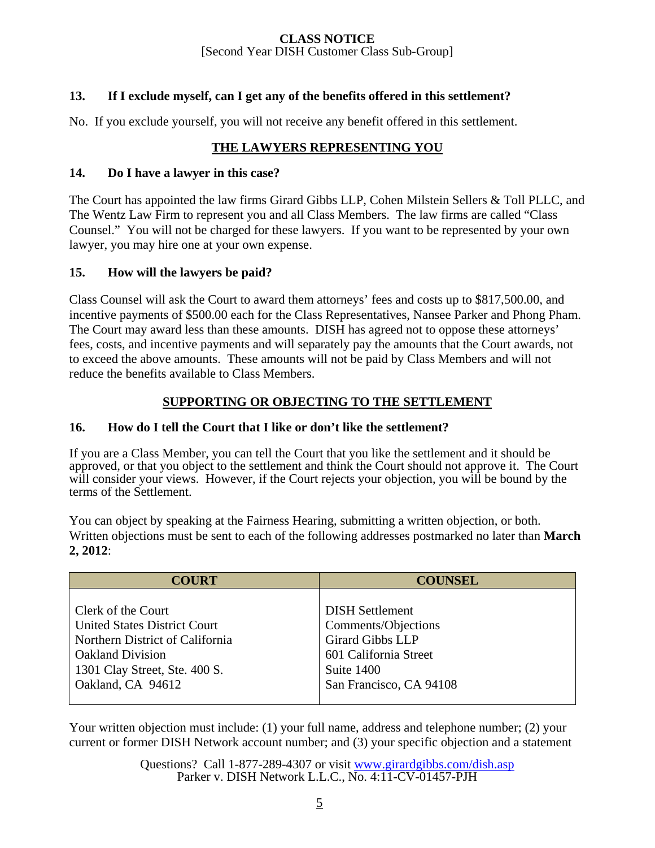## **13. If I exclude myself, can I get any of the benefits offered in this settlement?**

No. If you exclude yourself, you will not receive any benefit offered in this settlement.

## **THE LAWYERS REPRESENTING YOU**

#### **14. Do I have a lawyer in this case?**

The Court has appointed the law firms Girard Gibbs LLP, Cohen Milstein Sellers & Toll PLLC, and The Wentz Law Firm to represent you and all Class Members. The law firms are called "Class Counsel." You will not be charged for these lawyers. If you want to be represented by your own lawyer, you may hire one at your own expense.

#### **15. How will the lawyers be paid?**

Class Counsel will ask the Court to award them attorneys' fees and costs up to \$817,500.00, and incentive payments of \$500.00 each for the Class Representatives, Nansee Parker and Phong Pham. The Court may award less than these amounts. DISH has agreed not to oppose these attorneys' fees, costs, and incentive payments and will separately pay the amounts that the Court awards, not to exceed the above amounts. These amounts will not be paid by Class Members and will not reduce the benefits available to Class Members.

## **SUPPORTING OR OBJECTING TO THE SETTLEMENT**

## **16. How do I tell the Court that I like or don't like the settlement?**

If you are a Class Member, you can tell the Court that you like the settlement and it should be approved, or that you object to the settlement and think the Court should not approve it. The Court will consider your views. However, if the Court rejects your objection, you will be bound by the terms of the Settlement.

You can object by speaking at the Fairness Hearing, submitting a written objection, or both. Written objections must be sent to each of the following addresses postmarked no later than **March 2, 2012**:

| <b>COURT</b>                        | <b>COUNSEL</b>          |
|-------------------------------------|-------------------------|
| Clerk of the Court                  | <b>DISH Settlement</b>  |
| <b>United States District Court</b> | Comments/Objections     |
| Northern District of California     | <b>Girard Gibbs LLP</b> |
| <b>Oakland Division</b>             | 601 California Street   |
| 1301 Clay Street, Ste. 400 S.       | Suite 1400              |
| Oakland, CA 94612                   | San Francisco, CA 94108 |
|                                     |                         |

Your written objection must include: (1) your full name, address and telephone number; (2) your current or former DISH Network account number; and (3) your specific objection and a statement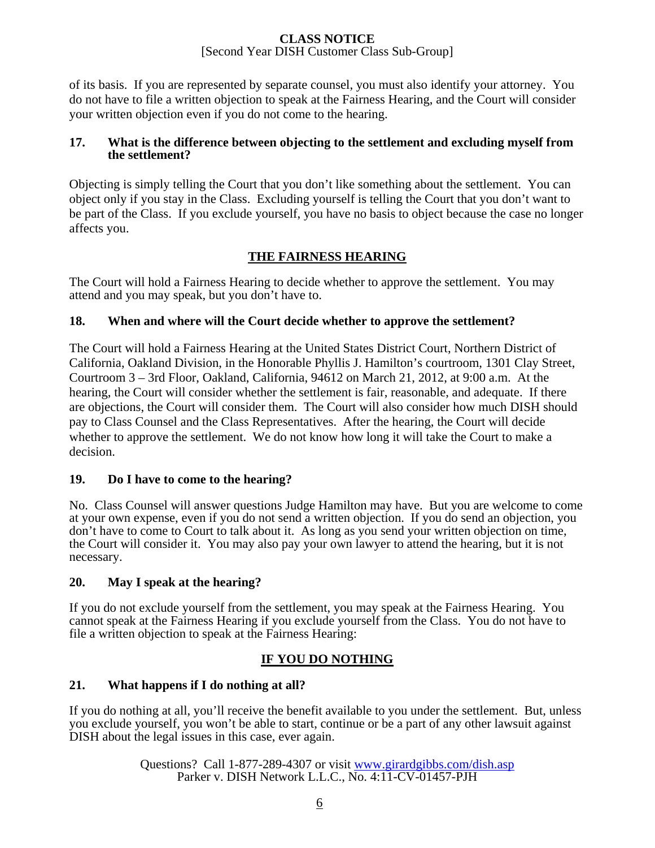of its basis. If you are represented by separate counsel, you must also identify your attorney. You do not have to file a written objection to speak at the Fairness Hearing, and the Court will consider your written objection even if you do not come to the hearing.

#### **17. What is the difference between objecting to the settlement and excluding myself from the settlement?**

Objecting is simply telling the Court that you don't like something about the settlement. You can object only if you stay in the Class. Excluding yourself is telling the Court that you don't want to be part of the Class. If you exclude yourself, you have no basis to object because the case no longer affects you.

## **THE FAIRNESS HEARING**

The Court will hold a Fairness Hearing to decide whether to approve the settlement. You may attend and you may speak, but you don't have to.

## **18. When and where will the Court decide whether to approve the settlement?**

The Court will hold a Fairness Hearing at the United States District Court, Northern District of California, Oakland Division, in the Honorable Phyllis J. Hamilton's courtroom, 1301 Clay Street, Courtroom 3 – 3rd Floor, Oakland, California, 94612 on March 21, 2012, at 9:00 a.m. At the hearing, the Court will consider whether the settlement is fair, reasonable, and adequate. If there are objections, the Court will consider them. The Court will also consider how much DISH should pay to Class Counsel and the Class Representatives. After the hearing, the Court will decide whether to approve the settlement. We do not know how long it will take the Court to make a decision.

## **19. Do I have to come to the hearing?**

No. Class Counsel will answer questions Judge Hamilton may have. But you are welcome to come at your own expense, even if you do not send a written objection. If you do send an objection, you don't have to come to Court to talk about it. As long as you send your written objection on time, the Court will consider it. You may also pay your own lawyer to attend the hearing, but it is not necessary.

## **20. May I speak at the hearing?**

If you do not exclude yourself from the settlement, you may speak at the Fairness Hearing. You cannot speak at the Fairness Hearing if you exclude yourself from the Class. You do not have to file a written objection to speak at the Fairness Hearing:

## **IF YOU DO NOTHING**

## **21. What happens if I do nothing at all?**

If you do nothing at all, you'll receive the benefit available to you under the settlement. But, unless you exclude yourself, you won't be able to start, continue or be a part of any other lawsuit against DISH about the legal issues in this case, ever again.